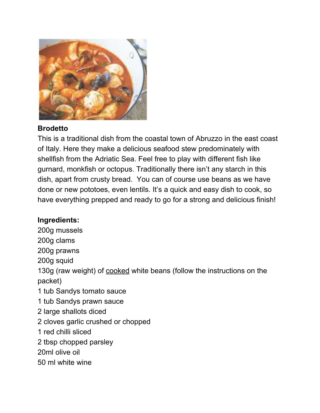

## **Brodetto**

This is a traditional dish from the coastal town of Abruzzo in the east coast of Italy. Here they make a delicious seafood stew predominately with shellfish from the Adriatic Sea. Feel free to play with different fish like gurnard, monkfish or octopus. Traditionally there isn't any starch in this dish, apart from crusty bread. You can of course use beans as we have done or new pototoes, even lentils. It's a quick and easy dish to cook, so have everything prepped and ready to go for a strong and delicious finish!

## **Ingredients:**

200g mussels 200g clams 200g prawns 200g squid 130g (raw weight) of cooked white beans (follow the instructions on the packet) 1 tub Sandys tomato sauce 1 tub Sandys prawn sauce 2 large shallots diced 2 cloves garlic crushed or chopped 1 red chilli sliced 2 tbsp chopped parsley 20ml olive oil 50 ml white wine